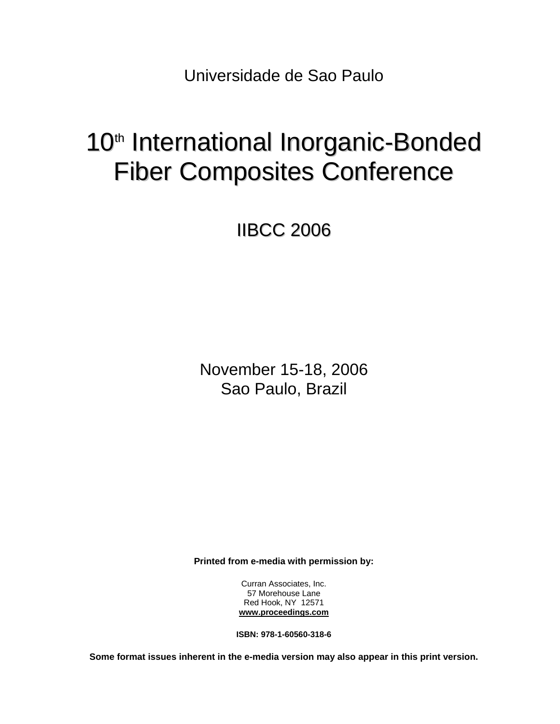Universidade de Sao Paulo

## 10<sup>th</sup> International Inorganic-Bonded Fiber Composites Conference

IIBCC 2006

November 15-18, 2006 Sao Paulo, Brazil

**Printed from e-media with permission by:** 

Curran Associates, Inc. 57 Morehouse Lane Red Hook, NY 12571 **[www.proceedings.com](http://www.proceedings.com/)**

**ISBN: 978-1-60560-318-6** 

**Some format issues inherent in the e-media version may also appear in this print version.**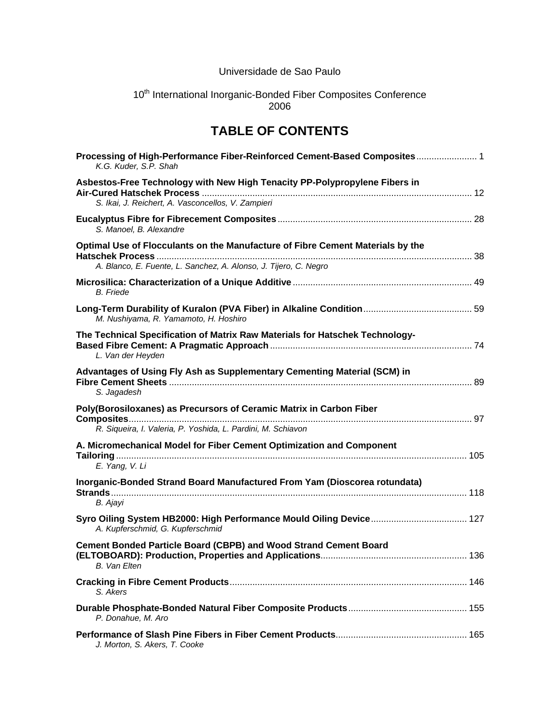## Universidade de Sao Paulo

## 10<sup>th</sup> International Inorganic-Bonded Fiber Composites Conference 2006

## **TABLE OF CONTENTS**

| Processing of High-Performance Fiber-Reinforced Cement-Based Composites 1<br>K.G. Kuder, S.P. Shah                                  |  |
|-------------------------------------------------------------------------------------------------------------------------------------|--|
| Asbestos-Free Technology with New High Tenacity PP-Polypropylene Fibers in                                                          |  |
| S. Ikai, J. Reichert, A. Vasconcellos, V. Zampieri                                                                                  |  |
| S. Manoel, B. Alexandre                                                                                                             |  |
| Optimal Use of Flocculants on the Manufacture of Fibre Cement Materials by the                                                      |  |
| A. Blanco, E. Fuente, L. Sanchez, A. Alonso, J. Tijero, C. Negro                                                                    |  |
| <b>B.</b> Friede                                                                                                                    |  |
| M. Nushiyama, R. Yamamoto, H. Hoshiro                                                                                               |  |
| The Technical Specification of Matrix Raw Materials for Hatschek Technology-<br>L. Van der Heyden                                   |  |
| Advantages of Using Fly Ash as Supplementary Cementing Material (SCM) in<br>S. Jagadesh                                             |  |
| Poly(Borosiloxanes) as Precursors of Ceramic Matrix in Carbon Fiber<br>R. Siqueira, I. Valeria, P. Yoshida, L. Pardini, M. Schiavon |  |
| A. Micromechanical Model for Fiber Cement Optimization and Component<br>E. Yang, V. Li                                              |  |
| Inorganic-Bonded Strand Board Manufactured From Yam (Dioscorea rotundata)<br>B. Ajayi                                               |  |
| A. Kupferschmid, G. Kupferschmid                                                                                                    |  |
| <b>Cement Bonded Particle Board (CBPB) and Wood Strand Cement Board</b><br><b>B.</b> Van Elten                                      |  |
| S. Akers                                                                                                                            |  |
| P. Donahue, M. Aro                                                                                                                  |  |
| J. Morton, S. Akers, T. Cooke                                                                                                       |  |